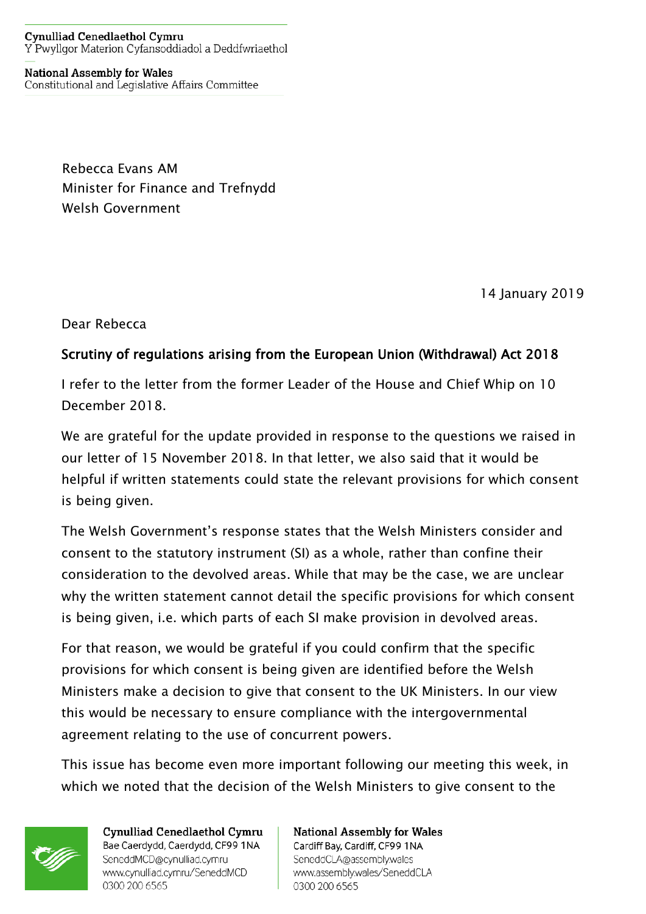## **Cynulliad Cenedlaethol Cymru** Y Pwyllgor Materion Cyfansoddiadol a Deddfwriaethol

## **National Assembly for Wales** Constitutional and Legislative Affairs Committee

Rebecca Evans AM Minister for Finance and Trefnydd Welsh Government

14 January 2019

Dear Rebecca

## Scrutiny of regulations arising from the European Union (Withdrawal) Act 2018

I refer to the letter from the former Leader of the House and Chief Whip on 10 December 2018.

We are grateful for the update provided in response to the questions we raised in our letter of 15 November 2018. In that letter, we also said that it would be helpful if written statements could state the relevant provisions for which consent is being given.

The Welsh Government's response states that the Welsh Ministers consider and consent to the statutory instrument (SI) as a whole, rather than confine their consideration to the devolved areas. While that may be the case, we are unclear why the written statement cannot detail the specific provisions for which consent is being given, i.e. which parts of each SI make provision in devolved areas.

For that reason, we would be grateful if you could confirm that the specific provisions for which consent is being given are identified before the Welsh Ministers make a decision to give that consent to the UK Ministers. In our view this would be necessary to ensure compliance with the intergovernmental agreement relating to the use of concurrent powers.

This issue has become even more important following our meeting this week, in which we noted that the decision of the Welsh Ministers to give consent to the



Cynulliad Cenedlaethol Cymru Bae Caerdydd, Caerdydd, CF99 1NA SeneddMCD@cynulliad.cymru www.cynulliad.cymru/SeneddMCD 0300 200 6565

**National Assembly for Wales** Cardiff Bay, Cardiff, CF99 1NA SeneddCLA@assembly.wales www.assembly.wales/SeneddCLA 0300 200 6565